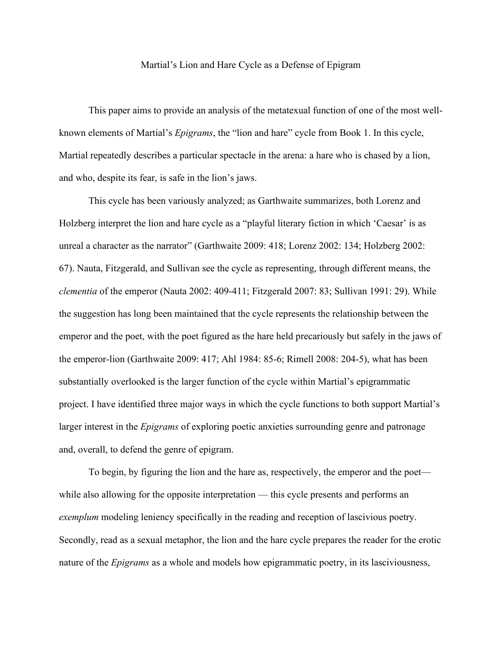## Martial's Lion and Hare Cycle as a Defense of Epigram

This paper aims to provide an analysis of the metatexual function of one of the most wellknown elements of Martial's *Epigrams*, the "lion and hare" cycle from Book 1. In this cycle, Martial repeatedly describes a particular spectacle in the arena: a hare who is chased by a lion, and who, despite its fear, is safe in the lion's jaws.

This cycle has been variously analyzed; as Garthwaite summarizes, both Lorenz and Holzberg interpret the lion and hare cycle as a "playful literary fiction in which 'Caesar' is as unreal a character as the narrator" (Garthwaite 2009: 418; Lorenz 2002: 134; Holzberg 2002: 67). Nauta, Fitzgerald, and Sullivan see the cycle as representing, through different means, the *clementia* of the emperor (Nauta 2002: 409-411; Fitzgerald 2007: 83; Sullivan 1991: 29). While the suggestion has long been maintained that the cycle represents the relationship between the emperor and the poet, with the poet figured as the hare held precariously but safely in the jaws of the emperor-lion (Garthwaite 2009: 417; Ahl 1984: 85-6; Rimell 2008: 204-5), what has been substantially overlooked is the larger function of the cycle within Martial's epigrammatic project. I have identified three major ways in which the cycle functions to both support Martial's larger interest in the *Epigrams* of exploring poetic anxieties surrounding genre and patronage and, overall, to defend the genre of epigram.

To begin, by figuring the lion and the hare as, respectively, the emperor and the poet while also allowing for the opposite interpretation — this cycle presents and performs an *exemplum* modeling leniency specifically in the reading and reception of lascivious poetry. Secondly, read as a sexual metaphor, the lion and the hare cycle prepares the reader for the erotic nature of the *Epigrams* as a whole and models how epigrammatic poetry, in its lasciviousness,